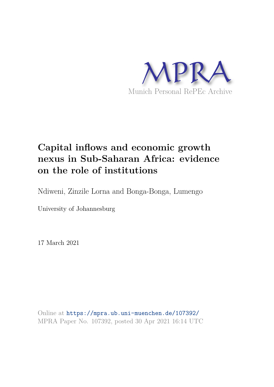

# **Capital inflows and economic growth nexus in Sub-Saharan Africa: evidence on the role of institutions**

Ndiweni, Zinzile Lorna and Bonga-Bonga, Lumengo

University of Johannesburg

17 March 2021

Online at https://mpra.ub.uni-muenchen.de/107392/ MPRA Paper No. 107392, posted 30 Apr 2021 16:14 UTC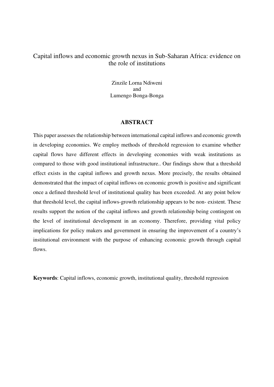# Capital inflows and economic growth nexus in Sub-Saharan Africa: evidence on the role of institutions

Zinzile Lorna Ndiweni and Lumengo Bonga-Bonga

#### **ABSTRACT**

This paper assesses the relationship between international capital inflows and economic growth in developing economies. We employ methods of threshold regression to examine whether capital flows have different effects in developing economies with weak institutions as compared to those with good institutional infrastructure.. Our findings show that a threshold effect exists in the capital inflows and growth nexus. More precisely, the results obtained demonstrated that the impact of capital inflows on economic growth is positive and significant once a defined threshold level of institutional quality has been exceeded. At any point below that threshold level, the capital inflows-growth relationship appears to be non- existent. These results support the notion of the capital inflows and growth relationship being contingent on the level of institutional development in an economy. Therefore, providing vital policy implications for policy makers and government in ensuring the improvement of a country's institutional environment with the purpose of enhancing economic growth through capital flows.

**Keywords**: Capital inflows, economic growth, institutional quality, threshold regression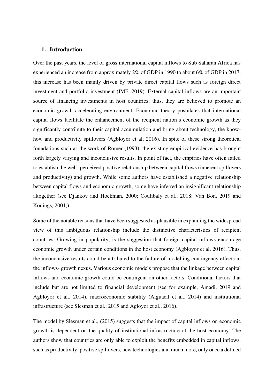## **1. Introduction**

Over the past years, the level of gross international capital inflows to Sub Saharan Africa has experienced an increase from approximately 2% of GDP in 1990 to about 6% of GDP in 2017, this increase has been mainly driven by private direct capital flows such as foreign direct investment and portfolio investment (IMF, 2019). External capital inflows are an important source of financing investments in host countries; thus, they are believed to promote an economic growth accelerating environment. Economic theory postulates that international capital flows facilitate the enhancement of the recipient nation's economic growth as they significantly contribute to their capital accumulation and bring about technology, the knowhow and productivity spillovers (Agbloyor et al, 2016). In spite of these strong theoretical foundations such as the work of Romer (1993), the existing empirical evidence has brought forth largely varying and inconclusive results. In point of fact, the empirics have often failed to establish the well- perceived positive relationship between capital flows (inherent spillovers and productivity) and growth. While some authors have established a negative relationship between capital flows and economic growth, some have inferred an insignificant relationship altogether (see Djankov and Hoekman, 2000; Coulibaly et al., 2018; Van Bon, 2019 and Konings, 2001;).

Some of the notable reasons that have been suggested as plausible in explaining the widespread view of this ambiguous relationship include the distinctive characteristics of recipient countries. Growing in popularity, is the suggestion that foreign capital inflows encourage economic growth under certain conditions in the host economy (Agbloyor et al, 2016). Thus, the inconclusive results could be attributed to the failure of modelling contingency effects in the inflows- growth nexus. Various economic models propose that the linkage between capital inflows and economic growth could be contingent on other factors. Conditional factors that include but are not limited to financial development (see for example, Amadi, 2019 and Agbloyor et al., 2014), macroeconomic stability (Alguacil et al., 2014) and institutional infrastructure (see Slesman et al., 2015 and Agloyor et al., 2016).

The model by Slesman et al., (2015) suggests that the impact of capital inflows on economic growth is dependent on the quality of institutional infrastructure of the host economy. The authors show that countries are only able to exploit the benefits embedded in capital inflows, such as productivity, positive spillovers, new technologies and much more, only once a defined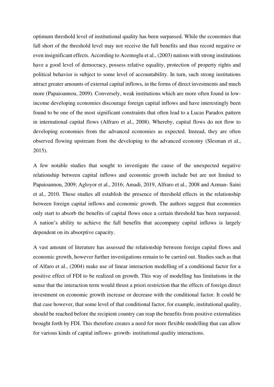optimum threshold level of institutional quality has been surpassed. While the economies that fall short of the threshold level may not receive the full benefits and thus record negative or even insignificant effects. According to Acemoglu et al., (2003) nations with strong institutions have a good level of democracy, possess relative equality, protection of property rights and political behavior is subject to some level of accountability. In turn, such strong institutions attract greater amounts of external capital inflows, in the forms of direct investments and much more (Papaioannou, 2009). Conversely, weak institutions which are more often found in lowincome developing economies discourage foreign capital inflows and have interestingly been found to be one of the most significant constraints that often lead to a Lucas Paradox pattern in international capital flows (Alfraro et al., 2008). Whereby, capital flows do not flow to developing economies from the advanced economies as expected. Instead, they are often observed flowing upstream from the developing to the advanced economy (Slesman et al., 2015).

A few notable studies that sought to investigate the cause of the unexpected negative relationship between capital inflows and economic growth include but are not limited to Papaioannou, 2009; Agloyor et al., 2016; Amadi, 2019, Alfraro et al., 2008 and Azman- Saini et al., 2010. These studies all establish the presence of threshold effects in the relationship between foreign capital inflows and economic growth. The authors suggest that economies only start to absorb the benefits of capital flows once a certain threshold has been surpassed. A nation's ability to achieve the full benefits that accompany capital inflows is largely dependent on its absorptive capacity.

A vast amount of literature has assessed the relationship between foreign capital flows and economic growth, however further investigations remain to be carried out. Studies such as that of Alfaro et al., (2004) make use of linear interaction modelling of a conditional factor for a positive effect of FDI to be realized on growth. This way of modelling has limitations in the sense that the interaction term would thrust a priori restriction that the effects of foreign direct investment on economic growth increase or decrease with the conditional factor. It could be that case however, that some level of that conditional factor, for example, institutional quality, should be reached before the recipient country can reap the benefits from positive externalities brought forth by FDI. This therefore creates a need for more flexible modelling that can allow for various kinds of capital inflows- growth- institutional quality interactions.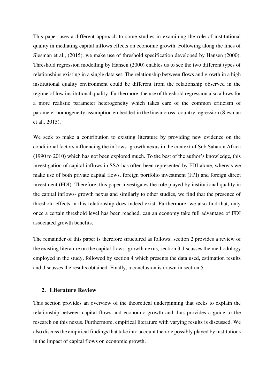This paper uses a different approach to some studies in examining the role of institutional quality in mediating capital inflows effects on economic growth. Following along the lines of Slesman et al., (2015), we make use of threshold specification developed by Hansen (2000). Threshold regression modelling by Hansen (2000) enables us to see the two different types of relationships existing in a single data set. The relationship between flows and growth in a high institutional quality environment could be different from the relationship observed in the regime of low institutional quality. Furthermore, the use of threshold regression also allows for a more realistic parameter heterogeneity which takes care of the common criticism of parameter homogeneity assumption embedded in the linear cross- country regression (Slesman et al., 2015).

We seek to make a contribution to existing literature by providing new evidence on the conditional factors influencing the inflows- growth nexus in the context of Sub Saharan Africa (1990 to 2010) which has not been explored much. To the best of the author's knowledge, this investigation of capital inflows in SSA has often been represented by FDI alone, whereas we make use of both private capital flows, foreign portfolio investment (FPI) and foreign direct investment (FDI). Therefore, this paper investigates the role played by institutional quality in the capital inflows- growth nexus and similarly to other studies, we find that the presence of threshold effects in this relationship does indeed exist. Furthermore, we also find that, only once a certain threshold level has been reached, can an economy take full advantage of FDI associated growth benefits.

The remainder of this paper is therefore structured as follows; section 2 provides a review of the existing literature on the capital flows- growth nexus, section 3 discusses the methodology employed in the study, followed by section 4 which presents the data used, estimation results and discusses the results obtained. Finally, a conclusion is drawn in section 5.

## **2. Literature Review**

This section provides an overview of the theoretical underpinning that seeks to explain the relationship between capital flows and economic growth and thus provides a guide to the research on this nexus. Furthermore, empirical literature with varying results is discussed. We also discuss the empirical findings that take into account the role possibly played by institutions in the impact of capital flows on economic growth.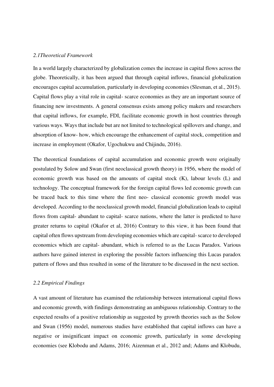#### *2.1Theoretical Framework*

In a world largely characterized by globalization comes the increase in capital flows across the globe. Theoretically, it has been argued that through capital inflows, financial globalization encourages capital accumulation, particularly in developing economies (Slesman, et al., 2015). Capital flows play a vital role in capital- scarce economies as they are an important source of financing new investments. A general consensus exists among policy makers and researchers that capital inflows, for example, FDI, facilitate economic growth in host countries through various ways. Ways that include but are not limited to technological spillovers and change, and absorption of know- how, which encourage the enhancement of capital stock, competition and increase in employment (Okafor, Ugochukwu and Chijindu, 2016).

The theoretical foundations of capital accumulation and economic growth were originally postulated by Solow and Swan (first neoclassical growth theory) in 1956, where the model of economic growth was based on the amounts of capital stock (K), labour levels (L) and technology. The conceptual framework for the foreign capital flows led economic growth can be traced back to this time where the first neo- classical economic growth model was developed. According to the neoclassical growth model, financial globalization leads to capital flows from capital- abundant to capital- scarce nations, where the latter is predicted to have greater returns to capital (Okafor et al, 2016) Contrary to this view, it has been found that capital often flows upstream from developing economies which are capital- scarce to developed economics which are capital- abundant, which is referred to as the Lucas Paradox. Various authors have gained interest in exploring the possible factors influencing this Lucas paradox pattern of flows and thus resulted in some of the literature to be discussed in the next section.

#### *2.2 Empirical Findings*

A vast amount of literature has examined the relationship between international capital flows and economic growth, with findings demonstrating an ambiguous relationship. Contrary to the expected results of a positive relationship as suggested by growth theories such as the Solow and Swan (1956) model, numerous studies have established that capital inflows can have a negative or insignificant impact on economic growth, particularly in some developing economies (see Klobodu and Adams, 2016; Aizenman et al., 2012 and; Adams and Klobudu,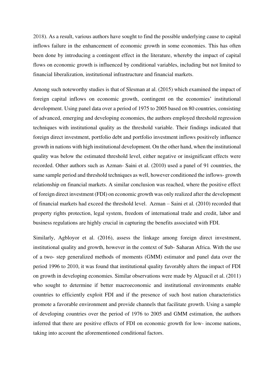2018). As a result, various authors have sought to find the possible underlying cause to capital inflows failure in the enhancement of economic growth in some economies. This has often been done by introducing a contingent effect in the literature, whereby the impact of capital flows on economic growth is influenced by conditional variables, including but not limited to financial liberalization, institutional infrastructure and financial markets.

Among such noteworthy studies is that of Slesman at al. (2015) which examined the impact of foreign capital inflows on economic growth, contingent on the economies' institutional development. Using panel data over a period of 1975 to 2005 based on 80 countries, consisting of advanced, emerging and developing economies, the authors employed threshold regression techniques with institutional quality as the threshold variable. Their findings indicated that foreign direct investment, portfolio debt and portfolio investment inflows positively influence growth in nations with high institutional development. On the other hand, when the institutional quality was below the estimated threshold level, either negative or insignificant effects were recorded. Other authors such as Azman- Saini et al. (2010) used a panel of 91 countries, the same sample period and threshold techniques as well, however conditioned the inflows- growth relationship on financial markets. A similar conclusion was reached, where the positive effect of foreign direct investment (FDI) on economic growth was only realized after the development of financial markets had exceed the threshold level. Azman – Saini et al. (2010) recorded that property rights protection, legal system, freedom of international trade and credit, labor and business regulations are highly crucial in capturing the benefits associated with FDI.

Similarly, Agbloyor et al. (2016), assess the linkage among foreign direct investment, institutional quality and growth, however in the context of Sub- Saharan Africa. With the use of a two- step generalized methods of moments (GMM) estimator and panel data over the period 1996 to 2010, it was found that institutional quality favorably alters the impact of FDI on growth in developing economies. Similar observations were made by Alguacil et al. (2011) who sought to determine if better macroeconomic and institutional environments enable countries to efficiently exploit FDI and if the presence of such host nation characteristics promote a favorable environment and provide channels that facilitate growth. Using a sample of developing countries over the period of 1976 to 2005 and GMM estimation, the authors inferred that there are positive effects of FDI on economic growth for low- income nations, taking into account the aforementioned conditional factors.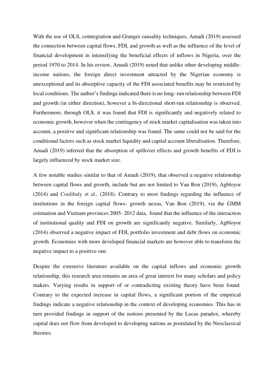With the use of OLS, cointegration and Granger causality techniques, Amadi (2019) assessed the connection between capital flows, FDI, and growth as well as the influence of the level of financial development in intensifying the beneficial effects of inflows in Nigeria, over the period 1970 to 2014. In his review, Amadi (2019) noted that unlike other developing middleincome nations, the foreign direct investment attracted by the Nigerian economy is unexceptional and its absorptive capacity of the FDI associated benefits may be restricted by local conditions. The author's findings indicated there is no long- run relationship between FDI and growth (in either direction), however a bi-directional short-run relationship is observed. Furthermore, through OLS, it was found that FDI is significantly and negatively related to economic growth, however when the contingency of stock market capitalisation was taken into account, a positive and significant relationship was found. The same could not be said for the conditional factors such as stock market liquidity and capital account liberalisation. Therefore, Amadi (2019) inferred that the absorption of spillover effects and growth benefits of FDI is largely influenced by stock market size.

A few notable studies similar to that of Amadi (2019), that observed a negative relationship between capital flows and growth, include but are not limited to Van Bon (2019), Agbloyor (2014) and Coulibaly et al., (2018). Contrary to most findings regarding the influence of institutions in the foreign capital flows- growth nexus, Van Bon (2019), via the GMM estimation and Vietnam provinces 2005- 2012 data, found that the influence of the interaction of institutional quality and FDI on growth are significantly negative. Similarly, Agbloyor (2014) observed a negative impact of FDI, portfolio investment and debt flows on economic growth. Economies with more developed financial markets are however able to transform the negative impact to a positive one.

Despite the extensive literature available on the capital inflows and economic growth relationship, this research area remains an area of great interest for many scholars and policy makers. Varying results in support of or contradicting existing theory have been found. Contrary to the expected increase in capital flows, a significant portion of the empirical findings indicate a negative relationship in the context of developing economies. This has in turn provided findings in support of the notions presented by the Lucas paradox, whereby capital does not flow from developed to developing nations as postulated by the Neoclassical theories.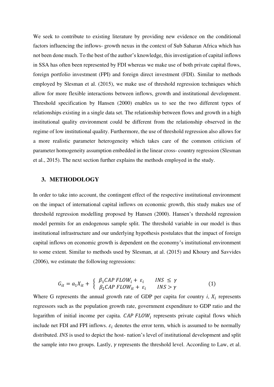We seek to contribute to existing literature by providing new evidence on the conditional factors influencing the inflows- growth nexus in the context of Sub Saharan Africa which has not been done much. To the best of the author's knowledge, this investigation of capital inflows in SSA has often been represented by FDI whereas we make use of both private capital flows, foreign portfolio investment (FPI) and foreign direct investment (FDI). Similar to methods employed by Slesman et al. (2015), we make use of threshold regression techniques which allow for more flexible interactions between inflows, growth and institutional development. Threshold specification by Hansen (2000) enables us to see the two different types of relationships existing in a single data set. The relationship between flows and growth in a high institutional quality environment could be different from the relationship observed in the regime of low institutional quality. Furthermore, the use of threshold regression also allows for a more realistic parameter heterogeneity which takes care of the common criticism of parameter homogeneity assumption embedded in the linear cross- country regression (Slesman et al., 2015). The next section further explains the methods employed in the study.

#### **3. METHODOLOGY**

In order to take into account, the contingent effect of the respective institutional environment on the impact of international capital inflows on economic growth, this study makes use of threshold regression modelling proposed by Hansen (2000). Hansen's threshold regression model permits for an endogenous sample split. The threshold variable in our model is thus institutional infrastructure and our underlying hypothesis postulates that the impact of foreign capital inflows on economic growth is dependent on the economy's institutional environment to some extent. Similar to methods used by Slesman, at al. (2015) and Khoury and Savvides (2006), we estimate the following regressions:

$$
G_{it} = a_1 X_{it} + \begin{cases} \beta_1 CAP \ FLOW_i + \varepsilon_i & INS \le \gamma \\ \beta_2 CAP \ FLOW_{it} + \varepsilon_i & INS > \gamma \end{cases}
$$
 (1)

Where G represents the annual growth rate of GDP per capita for country  $i$ ,  $X_i$  represents regressors such as the population growth rate, government expenditure to GDP ratio and the logarithm of initial income per capita.  $CAP$   $FLOW$  represents private capital flows which include net FDI and FPI inflows.  $\varepsilon_i$  denotes the error term, which is assumed to be normally distributed. *INS* is used to depict the host- nation's level of institutional development and split the sample into two groups. Lastly,  $\gamma$  represents the threshold level. According to Law, et al.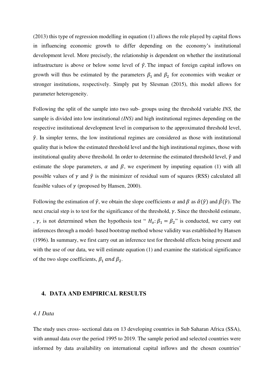(2013) this type of regression modelling in equation (1) allows the role played by capital flows in influencing economic growth to differ depending on the economy's institutional development level. More precisely, the relationship is dependent on whether the institutional infrastructure is above or below some level of  $\hat{\gamma}$ . The impact of foreign capital inflows on growth will thus be estimated by the parameters  $\beta_1$  and  $\beta_2$  for economies with weaker or stronger institutions, respectively. Simply put by Slesman (2015), this model allows for parameter heterogeneity.

Following the split of the sample into two sub- groups using the threshold variable *INS,* the sample is divided into low institutional *(INS)* and high institutional regimes depending on the respective institutional development level in comparison to the approximated threshold level,  $\hat{\gamma}$ . In simpler terms, the low institutional regimes are considered as those with institutional quality that is below the estimated threshold level and the high institutional regimes, those with institutional quality above threshold. In order to determine the estimated threshold level,  $\hat{y}$  and estimate the slope parameters,  $\alpha$  and  $\beta$ , we experiment by imputing equation (1) with all possible values of  $\gamma$  and  $\hat{\gamma}$  is the minimizer of residual sum of squares (RSS) calculated all feasible values of  $\gamma$  (proposed by Hansen, 2000).

Following the estimation of  $\hat{\gamma}$ , we obtain the slope coefficients  $\alpha$  and  $\beta$  as  $\hat{\alpha}(\hat{\gamma})$  and  $\hat{\beta}(\hat{\gamma})$ . The next crucial step is to test for the significance of the threshold,  $\gamma$ . Since the threshold estimate, ,  $\gamma$ , is not determined when the hypothesis test "  $H_0: \beta_1 = \beta_2$ " is conducted, we carry out inferences through a model- based bootstrap method whose validity was established by Hansen (1996). In summary, we first carry out an inference test for threshold effects being present and with the use of our data, we will estimate equation (1) and examine the statistical significance of the two slope coefficients,  $\beta_1$  and  $\beta_2$ .

## **4. DATA AND EMPIRICAL RESULTS**

#### *4.1 Data*

The study uses cross- sectional data on 13 developing countries in Sub Saharan Africa (SSA), with annual data over the period 1995 to 2019. The sample period and selected countries were informed by data availability on international capital inflows and the chosen countries'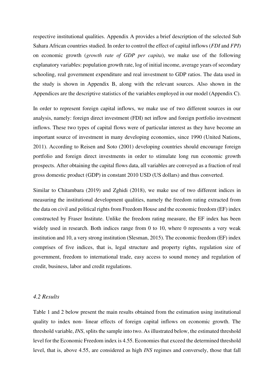respective institutional qualities. Appendix A provides a brief description of the selected Sub Sahara African countries studied. In order to control the effect of capital inflows (*FDI* and *FPI*) on economic growth (*growth rate of GDP per capita*), we make use of the following explanatory variables: population growth rate, log of initial income, average years of secondary schooling, real government expenditure and real investment to GDP ratios. The data used in the study is shown in Appendix B, along with the relevant sources. Also shown in the Appendices are the descriptive statistics of the variables employed in our model (Appendix C).

In order to represent foreign capital inflows, we make use of two different sources in our analysis, namely: foreign direct investment (FDI) net inflow and foreign portfolio investment inflows. These two types of capital flows were of particular interest as they have become an important source of investment in many developing economies, since 1990 (United Nations, 2011). According to Reisen and Soto (2001) developing countries should encourage foreign portfolio and foreign direct investments in order to stimulate long run economic growth prospects. After obtaining the capital flows data, all variables are conveyed as a fraction of real gross domestic product (GDP) in constant 2010 USD (US dollars) and thus converted.

Similar to Chitambara (2019) and Zghidi (2018), we make use of two different indices in measuring the institutional development qualities, namely the freedom rating extracted from the data on civil and political rights from Freedom House and the economic freedom (EF) index constructed by Fraser Institute. Unlike the freedom rating measure, the EF index has been widely used in research. Both indices range from 0 to 10, where 0 represents a very weak institution and 10, a very strong institution (Slesman, 2015). The economic freedom (EF) index comprises of five indices, that is, legal structure and property rights, regulation size of government, freedom to international trade, easy access to sound money and regulation of credit, business, labor and credit regulations.

#### *4.2 Results*

Table 1 and 2 below present the main results obtained from the estimation using institutional quality to index non- linear effects of foreign capital inflows on economic growth. The threshold variable, *INS*, splits the sample into two. As illustrated below, the estimated threshold level for the Economic Freedom index is 4.55. Economies that exceed the determined threshold level, that is, above 4.55, are considered as high *INS* regimes and conversely, those that fall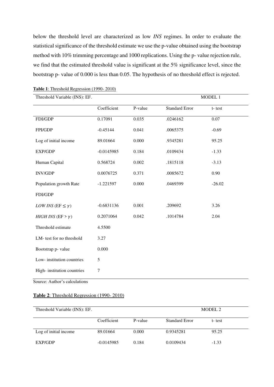below the threshold level are characterized as low *INS* regimes. In order to evaluate the statistical significance of the threshold estimate we use the p-value obtained using the bootstrap method with 10% trimming percentage and 1000 replications. Using the p- value rejection rule, we find that the estimated threshold value is significant at the 5% significance level, since the bootstrap p- value of 0.000 is less than 0.05. The hypothesis of no threshold effect is rejected.

| Threshold Variable (INS): EF.       |              |         | MODEL 1               |          |  |
|-------------------------------------|--------------|---------|-----------------------|----------|--|
|                                     | Coefficient  | P-value | <b>Standard Error</b> | t-test   |  |
| FDI/GDP                             | 0.17091      | 0.035   | .0246162              | $0.07\,$ |  |
| FPI/GDP                             | $-0.45144$   | 0.041   | .0065375              | $-0.69$  |  |
| Log of initial income               | 89.01664     | 0.000   | .9345281              | 95.25    |  |
| EXP/GDP                             | $-0.0145985$ | 0.184   | .0109434              | $-1.33$  |  |
| Human Capital                       | 0.568724     | 0.002   | .1815118              | $-3.13$  |  |
| <b>INV/GDP</b>                      | 0.0076725    | 0.371   | .0085672              | 0.90     |  |
| Population growth Rate              | $-1.221597$  | 0.000   | .0469399              | $-26.02$ |  |
| FDI/GDP                             |              |         |                       |          |  |
| <i>LOW INS</i> ( $EF \leq \gamma$ ) | $-0.6831136$ | 0.001   | .209692               | 3.26     |  |
| HIGH INS (EF > $\gamma$ )           | 0.2071064    | 0.042   | .1014784              | 2.04     |  |
| Threshold estimate                  | 4.5500       |         |                       |          |  |
| LM- test for no threshold           | 3.27         |         |                       |          |  |
| Bootstrap p- value                  | 0.000        |         |                       |          |  |
| Low-institution countries           | 5            |         |                       |          |  |
| High-institution countries          | $\tau$       |         |                       |          |  |

#### **Table 1**: Threshold Regression (1990- 2010)

Source: Author's calculations

### **Table 2**: Threshold Regression (1990- 2010)

| Threshold Variable (INS): EF. |              |         |                       | MODEL 2 |  |
|-------------------------------|--------------|---------|-----------------------|---------|--|
|                               | Coefficient  | P-value | <b>Standard Error</b> | t-test  |  |
| Log of initial income         | 89.01664     | 0.000   | 0.9345281             | 95.25   |  |
| EXP/GDP                       | $-0.0145985$ | 0.184   | 0.0109434             | $-1.33$ |  |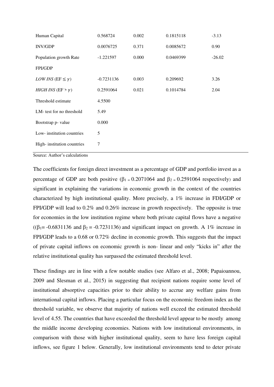| Human Capital                       | 0.568724     | 0.002 | 0.1815118 | $-3.13$  |
|-------------------------------------|--------------|-------|-----------|----------|
| <b>INV/GDP</b>                      | 0.0076725    | 0.371 | 0.0085672 | 0.90     |
| Population growth Rate              | $-1.221597$  | 0.000 | 0.0469399 | $-26.02$ |
| <b>FPI/GDP</b>                      |              |       |           |          |
| <i>LOW INS</i> ( $EF \leq \gamma$ ) | $-0.7231136$ | 0.003 | 0.209692  | 3.26     |
| <i>HIGH INS</i> ( $EF > \gamma$ )   | 0.2591064    | 0.021 | 0.1014784 | 2.04     |
| Threshold estimate                  | 4.5500       |       |           |          |
| LM- test for no threshold           | 5.49         |       |           |          |
| Bootstrap p- value                  | 0.000        |       |           |          |
| Low-institution countries           | 5            |       |           |          |
| High-institution countries          | 7            |       |           |          |
|                                     |              |       |           |          |

Source: Author's calculations

The coefficients for foreign direct investment as a percentage of GDP and portfolio invest as a percentage of GDP are both positive ( $\beta_1 = 0.2071064$  and  $\beta_2 = 0.2591064$  respectively) and significant in explaining the variations in economic growth in the context of the countries characterized by high institutional quality. More precisely, a 1% increase in FDI/GDP or FPI/GDP will lead to 0.2% and 0.26% increase in growth respectively. The opposite is true for economies in the low institution regime where both private capital flows have a negative ( $(\beta_1 = -0.6831136$  and  $\beta_2 = -0.7231136$ ) and significant impact on growth. A 1% increase in FPI/GDP leads to a 0.68 or 0.72% decline in economic growth. This suggests that the impact of private capital inflows on economic growth is non- linear and only "kicks in" after the relative institutional quality has surpassed the estimated threshold level.

These findings are in line with a few notable studies (see Alfaro et al., 2008; Papaioannou, 2009 and Slesman et al., 2015) in suggesting that recipient nations require some level of institutional absorptive capacities prior to their ability to accrue any welfare gains from international capital inflows. Placing a particular focus on the economic freedom index as the threshold variable, we observe that majority of nations well exceed the estimated threshold level of 4.55. The countries that have exceeded the threshold level appear to be mostly among the middle income developing economies. Nations with low institutional environments, in comparison with those with higher institutional quality, seem to have less foreign capital inflows, see figure 1 below. Generally, low institutional environments tend to deter private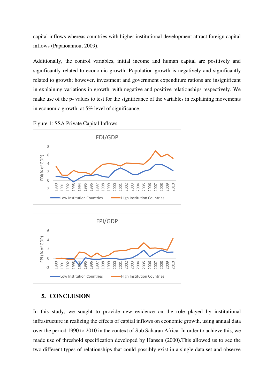capital inflows whereas countries with higher institutional development attract foreign capital inflows (Papaioannou, 2009).

Additionally, the control variables, initial income and human capital are positively and significantly related to economic growth. Population growth is negatively and significantly related to growth; however, investment and government expenditure rations are insignificant in explaining variations in growth, with negative and positive relationships respectively. We make use of the p- values to test for the significance of the variables in explaining movements in economic growth, at 5% level of significance.



#### Figure 1: SSA Private Capital Inflows

## **5. CONCLUSION**

In this study, we sought to provide new evidence on the role played by institutional infrastructure in realizing the effects of capital inflows on economic growth, using annual data over the period 1990 to 2010 in the context of Sub Saharan Africa. In order to achieve this, we made use of threshold specification developed by Hansen (2000).This allowed us to see the two different types of relationships that could possibly exist in a single data set and observe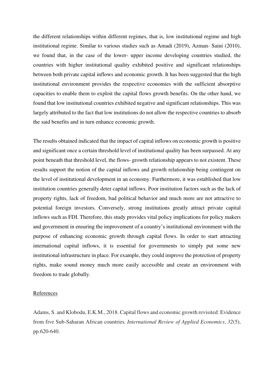the different relationships within different regimes, that is, low institutional regime and high institutional regime. Similar to various studies such as Amadi (2019), Azman- Saini (2010), we found that, in the case of the lower- upper income developing countries studied, the countries with higher institutional quality exhibited positive and significant relationships between both private capital inflows and economic growth. It has been suggested that the high institutional environment provides the respective economies with the sufficient absorptive capacities to enable them to exploit the capital flows growth benefits. On the other hand, we found that low institutional countries exhibited negative and significant relationships. This was largely attributed to the fact that low institutions do not allow the respective countries to absorb the said benefits and in turn enhance economic growth.

The results obtained indicated that the impact of capital inflows on economic growth is positive and significant once a certain threshold level of institutional quality has been surpassed. At any point beneath that threshold level, the flows- growth relationship appears to not existent. These results support the notion of the capital inflows and growth relationship being contingent on the level of institutional development in an economy. Furthermore, it was established that low institution countries generally deter capital inflows. Poor institution factors such as the lack of property rights, lack of freedom, bad political behavior and much more are not attractive to potential foreign investors. Conversely, strong institutions greatly attract private capital inflows such as FDI. Therefore, this study provides vital policy implications for policy makers and government in ensuring the improvement of a country's institutional environment with the purpose of enhancing economic growth through capital flows. In order to start attracting international capital inflows, it is essential for governments to simply put some new institutional infrastructure in place. For example, they could improve the protection of property rights, make sound money much more easily accessible and create an environment with freedom to trade globally.

#### References

Adams, S. and Klobodu, E.K.M., 2018. Capital flows and economic growth revisited: Evidence from five Sub-Saharan African countries. *International Review of Applied Economics*, *32*(5), pp.620-640.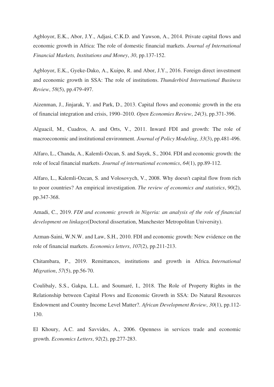Agbloyor, E.K., Abor, J.Y., Adjasi, C.K.D. and Yawson, A., 2014. Private capital flows and economic growth in Africa: The role of domestic financial markets. *Journal of International Financial Markets, Institutions and Money*, *30*, pp.137-152.

Agbloyor, E.K., Gyeke‐Dako, A., Kuipo, R. and Abor, J.Y., 2016. Foreign direct investment and economic growth in SSA: The role of institutions. *Thunderbird International Business Review*, *58*(5), pp.479-497.

Aizenman, J., Jinjarak, Y. and Park, D., 2013. Capital flows and economic growth in the era of financial integration and crisis, 1990–2010. *Open Economies Review*, *24*(3), pp.371-396.

Alguacil, M., Cuadros, A. and Orts, V., 2011. Inward FDI and growth: The role of macroeconomic and institutional environment. *Journal of Policy Modeling*, *33*(3), pp.481-496.

Alfaro, L., Chanda, A., Kalemli-Ozcan, S. and Sayek, S., 2004. FDI and economic growth: the role of local financial markets. *Journal of international economics*, *64*(1), pp.89-112.

Alfaro, L., Kalemli-Ozcan, S. and Volosovych, V., 2008. Why doesn't capital flow from rich to poor countries? An empirical investigation. *The review of economics and statistics*, *90*(2), pp.347-368.

Amadi, C., 2019. *FDI and economic growth in Nigeria: an analysis of the role of financial development on linkages*(Doctoral dissertation, Manchester Metropolitan University).

Azman-Saini, W.N.W. and Law, S.H., 2010. FDI and economic growth: New evidence on the role of financial markets. *Economics letters*, *107*(2), pp.211-213.

Chitambara, P., 2019. Remittances, institutions and growth in Africa. *International Migration*, *57*(5), pp.56-70.

Coulibaly, S.S., Gakpa, L.L. and Soumaré, I., 2018. The Role of Property Rights in the Relationship between Capital Flows and Economic Growth in SSA: Do Natural Resources Endowment and Country Income Level Matter?. *African Development Review*, *30*(1), pp.112- 130.

El Khoury, A.C. and Savvides, A., 2006. Openness in services trade and economic growth. *Economics Letters*, *92*(2), pp.277-283.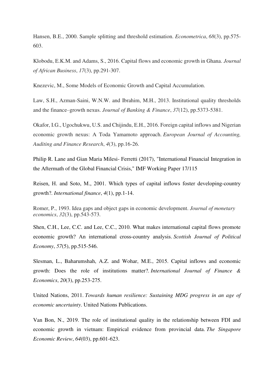Hansen, B.E., 2000. Sample splitting and threshold estimation. *Econometrica*, *68*(3), pp.575- 603.

Klobodu, E.K.M. and Adams, S., 2016. Capital flows and economic growth in Ghana. *Journal of African Business*, *17*(3), pp.291-307.

Knezevic, M., Some Models of Economic Growth and Capital Accumulation.

Law, S.H., Azman-Saini, W.N.W. and Ibrahim, M.H., 2013. Institutional quality thresholds and the finance–growth nexus. *Journal of Banking & Finance*, *37*(12), pp.5373-5381.

Okafor, I.G., Ugochukwu, U.S. and Chijindu, E.H., 2016. Foreign capital inflows and Nigerian economic growth nexus: A Toda Yamamoto approach. *European Journal of Accounting, Auditing and Finance Research*, *4*(3), pp.16-26.

Philip R. Lane and Gian Maria Milesi- Ferretti (2017), "International Financial Integration in the Aftermath of the Global Financial Crisis," IMF Working Paper 17/115

Reisen, H. and Soto, M., 2001. Which types of capital inflows foster developing‐country growth?. *International finance*, *4*(1), pp.1-14.

Romer, P., 1993. Idea gaps and object gaps in economic development. *Journal of monetary economics*, *32*(3), pp.543-573.

Shen, C.H., Lee, C.C. and Lee, C.C., 2010. What makes international capital flows promote economic growth? An international cross‐country analysis. *Scottish Journal of Political Economy*, *57*(5), pp.515-546.

Slesman, L., Baharumshah, A.Z. and Wohar, M.E., 2015. Capital inflows and economic growth: Does the role of institutions matter?. *International Journal of Finance & Economics*, *20*(3), pp.253-275.

United Nations, 2011. *Towards human resilience: Sustaining MDG progress in an age of economic uncertainty*. United Nations Publications.

Van Bon, N., 2019. The role of institutional quality in the relationship between FDI and economic growth in vietnam: Empirical evidence from provincial data. *The Singapore Economic Review*, *64*(03), pp.601-623.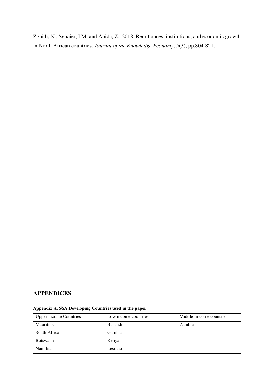Zghidi, N., Sghaier, I.M. and Abida, Z., 2018. Remittances, institutions, and economic growth in North African countries. *Journal of the Knowledge Economy*, *9*(3), pp.804-821.

## **APPENDICES**

| <b>Upper income Countries</b> | Low income countries | Middle- income countries |
|-------------------------------|----------------------|--------------------------|
| <b>Mauritius</b>              | <b>Burundi</b>       | Zambia                   |
| South Africa                  | Gambia               |                          |
| <b>Botswana</b>               | Kenya                |                          |
| Namibia                       | Lesotho              |                          |

#### **Appendix A. SSA Developing Countries used in the paper**